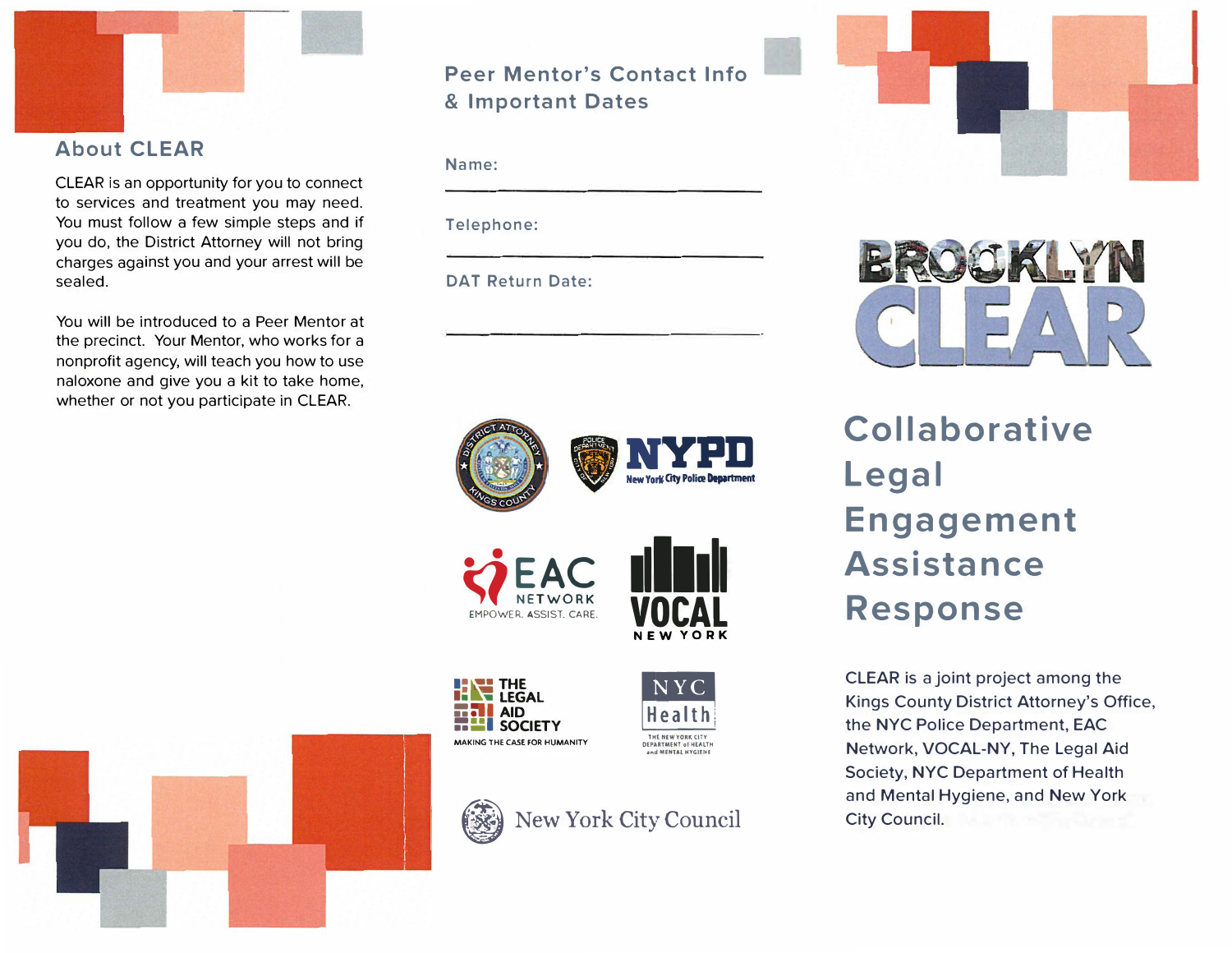

# **About CLEAR**

CLEAR is an opportunity for you to connect to services and treatment you may need. You must follow a few simple steps and if you do, the District Attorney will not bring charges against you and your arrest will be sealed.

You will be introduced to a Peer Mentor at the precinct. Your Mentor, who works for a nonprofit agency, will teach you how to use naloxone and give you a kit to take home, whether or not you participate in CLEAR.

# **Peer Mentor's Contact Info** & Important Dates

Name:

Telephone:

**DAT Return Date:** 





CLEAR is a joint project among the Kings County District Attorney's Office, the NYC Police Department, EAC Network, VOCAL-NY, The Legal Aid Society, NYC Department of Health and Mental Hygiene, and New York City Council.





EMPOWER. ASSIST. CARE



**NEW YORK** 





DIO KLY